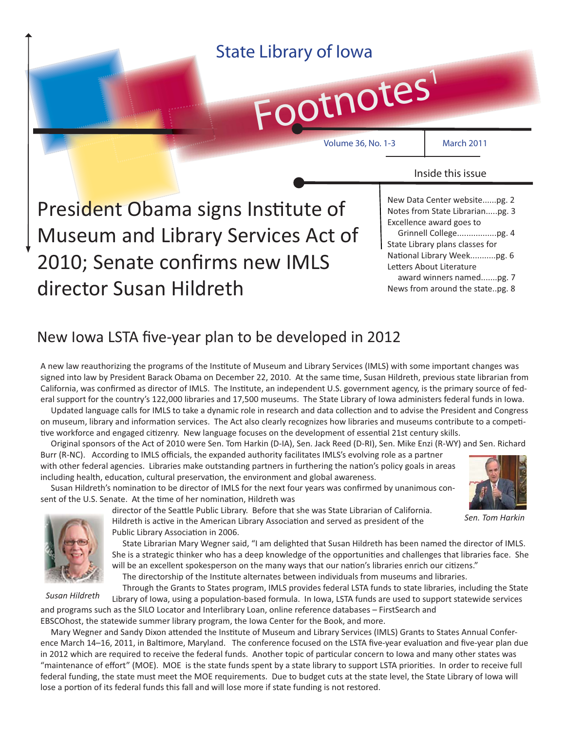#### Footnotes State Library of Iowa Volume 36, No. 1-3 March 2011 Inside this issue President Obama signs Institute of Museum and Library Services Act of 2010; Senate confirms new IMLS director Susan Hildreth New Data Center website......pg. 2 Notes from State Librarian.....pg. 3 Excellence award goes to Grinnell College.................pg. 4 State Library plans classes for National Library Week............pg. 6 Letters About Literature award winners named.......pg. 7 News from around the state..pg. 8

### New Iowa LSTA five-year plan to be developed in 2012

A new law reauthorizing the programs of the Institute of Museum and Library Services (IMLS) with some important changes was signed into law by President Barack Obama on December 22, 2010. At the same time, Susan Hildreth, previous state librarian from California, was confirmed as director of IMLS. The Institute, an independent U.S. government agency, is the primary source of federal support for the country's 122,000 libraries and 17,500 museums. The State Library of Iowa administers federal funds in Iowa.

Updated language calls for IMLS to take a dynamic role in research and data collection and to advise the President and Congress on museum, library and information services. The Act also clearly recognizes how libraries and museums contribute to a competitive workforce and engaged citizenry. New language focuses on the development of essential 21st century skills.

 Original sponsors of the Act of 2010 were Sen. Tom Harkin (D-IA), Sen. Jack Reed (D-RI), Sen. Mike Enzi (R-WY) and Sen. Richard Burr (R-NC). According to IMLS officials, the expanded authority facilitates IMLS's evolving role as a partner

with other federal agencies. Libraries make outstanding partners in furthering the nation's policy goals in areas including health, education, cultural preservation, the environment and global awareness.

Susan Hildreth's nomination to be director of IMLS for the next four years was confirmed by unanimous consent of the U.S. Senate. At the time of her nomination, Hildreth was





director of the Seattle Public Library. Before that she was State Librarian of California. Hildreth is active in the American Library Association and served as president of the Public Library Association in 2006.

 State Librarian Mary Wegner said, "I am delighted that Susan Hildreth has been named the director of IMLS. She is a strategic thinker who has a deep knowledge of the opportunities and challenges that libraries face. She will be an excellent spokesperson on the many ways that our nation's libraries enrich our citizens."

The directorship of the Institute alternates between individuals from museums and libraries.

 Through the Grants to States program, IMLS provides federal LSTA funds to state libraries, including the State Library of Iowa, using a population-based formula. In Iowa, LSTA funds are used to support statewide services and programs such as the SILO Locator and Interlibrary Loan, online reference databases – FirstSearch and EBSCOhost, the statewide summer library program, the Iowa Center for the Book, and more. *Susan Hildreth*

Mary Wegner and Sandy Dixon attended the Institute of Museum and Library Services (IMLS) Grants to States Annual Conference March 14–16, 2011, in Baltimore, Maryland. The conference focused on the LSTA five-year evaluation and five-year plan due in 2012 which are required to receive the federal funds. Another topic of particular concern to Iowa and many other states was "maintenance of effort" (MOE). MOE is the state funds spent by a state library to support LSTA priorities. In order to receive full federal funding, the state must meet the MOE requirements. Due to budget cuts at the state level, the State Library of Iowa will lose a portion of its federal funds this fall and will lose more if state funding is not restored.

*Sen. Tom Harkin*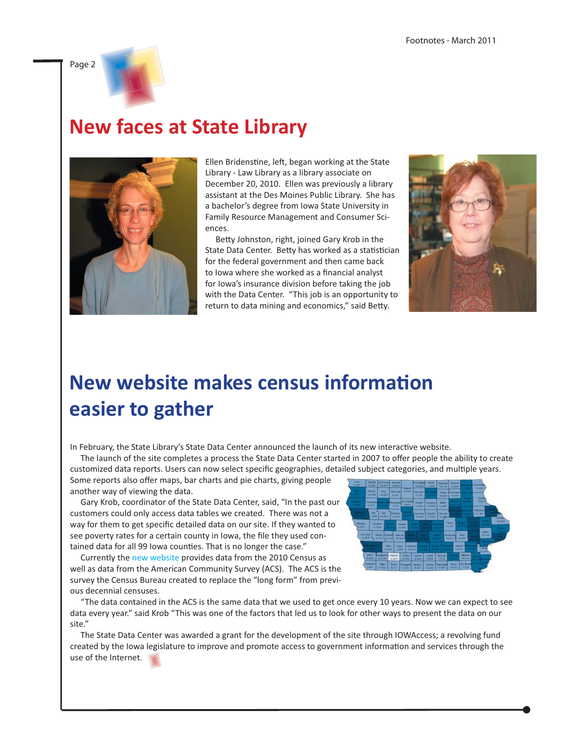



## **New faces at State Library**



Ellen Bridenstine, left, began working at the State Library - Law Library as a library associate on December 20, 2010. Ellen was previously a library assistant at the Des Moines Public Library. She has a bachelor's degree from Iowa State University in Family Resource Management and Consumer Sciences.

Betty Johnston, right, joined Gary Krob in the State Data Center. Betty has worked as a statistician for the federal government and then came back to Iowa where she worked as a financial analyst for Iowa's insurance division before taking the job with the Data Center. "This job is an opportunity to return to data mining and economics," said Betty.



## **New website makes census information easier to gather**

In February, the State Library's State Data Center announced the launch of its new interactive website.

The launch of the site completes a process the State Data Center started in 2007 to offer people the ability to create customized data reports. Users can now select specific geographies, detailed subject categories, and multiple years.

Some reports also offer maps, bar charts and pie charts, giving people another way of viewing the data.

 Gary Krob, coordinator of the State Data Center, said, "In the past our customers could only access data tables we created. There was not a way for them to get specific detailed data on our site. If they wanted to see poverty rates for a certain county in lowa, the file they used contained data for all 99 Iowa counties. That is no longer the case."

Currently the [new website](http://www.iowadatacenter.org/) provides data from the 2010 Census as well as data from the American Community Survey (ACS). The ACS is the survey the Census Bureau created to replace the "long form" from previous decennial censuses.



 "The data contained in the ACS is the same data that we used to get once every 10 years. Now we can expect to see data every year." said Krob "This was one of the factors that led us to look for other ways to present the data on our site."

 The State Data Center was awarded a grant for the development of the site through IOWAccess; a revolving fund created by the lowa legislature to improve and promote access to government information and services through the use of the Internet.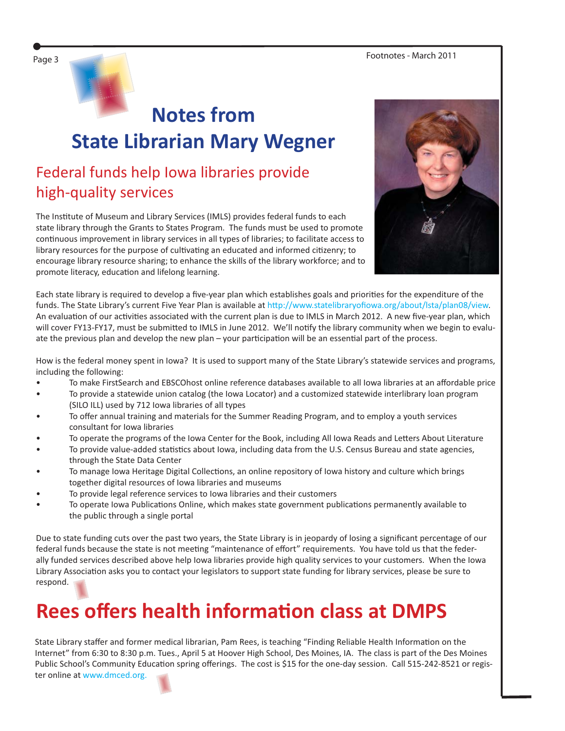Page 3 Footnotes - March 2011



## **Notes from State Librarian Mary Wegner**

## Federal funds help Iowa libraries provide high-quality services

The Institute of Museum and Library Services (IMLS) provides federal funds to each state library through the Grants to States Program. The funds must be used to promote continuous improvement in library services in all types of libraries; to facilitate access to library resources for the purpose of cultivating an educated and informed citizenry; to encourage library resource sharing; to enhance the skills of the library workforce; and to promote literacy, education and lifelong learning.



Each state library is required to develop a five-year plan which establishes goals and priorities for the expenditure of the funds. The State Library's current Five Year Plan is available at http://www.statelibraryofiowa.org/about/lsta/plan08/view. An evaluation of our activities associated with the current plan is due to IMLS in March 2012. A new five-year plan, which will cover FY13-FY17, must be submitted to IMLS in June 2012. We'll notify the library community when we begin to evaluate the previous plan and develop the new plan – your participation will be an essential part of the process.

How is the federal money spent in Iowa? It is used to support many of the State Library's statewide services and programs, including the following:

- To make FirstSearch and EBSCOhost online reference databases available to all Iowa libraries at an affordable price
- To provide a statewide union catalog (the Iowa Locator) and a customized statewide interlibrary loan program (SILO ILL) used by 712 Iowa libraries of all types
- To offer annual training and materials for the Summer Reading Program, and to employ a youth services consultant for Iowa libraries
- To operate the programs of the Iowa Center for the Book, including All Iowa Reads and Letters About Literature
- To provide value-added statistics about Iowa, including data from the U.S. Census Bureau and state agencies, through the State Data Center
- To manage Iowa Heritage Digital Collections, an online repository of Iowa history and culture which brings together digital resources of Iowa libraries and museums
- To provide legal reference services to Iowa libraries and their customers
- To operate Iowa Publications Online, which makes state government publications permanently available to the public through a single portal

Due to state funding cuts over the past two years, the State Library is in jeopardy of losing a significant percentage of our federal funds because the state is not meeting "maintenance of effort" requirements. You have told us that the federally funded services described above help Iowa libraries provide high quality services to your customers. When the Iowa Library Association asks you to contact your legislators to support state funding for library services, please be sure to respond.

## **Rees offers health information class at DMPS**

State Library staffer and former medical librarian, Pam Rees, is teaching "Finding Reliable Health Information on the Internet" from 6:30 to 8:30 p.m. Tues., April 5 at Hoover High School, Des Moines, IA. The class is part of the Des Moines Public School's Community Education spring offerings. The cost is \$15 for the one-day session. Call 515-242-8521 or register online at [www.dmced.org.](http://www.dmced.org)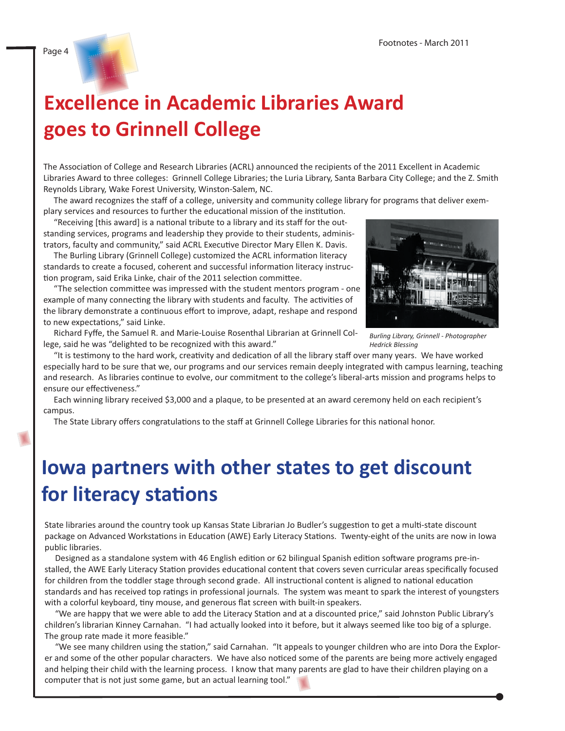Page 4

## **Excellence in Academic Libraries Award goes to Grinnell College**

The Association of College and Research Libraries (ACRL) announced the recipients of the 2011 Excellent in Academic Libraries Award to three colleges: Grinnell College Libraries; the Luria Library, Santa Barbara City College; and the Z. Smith Reynolds Library, Wake Forest University, Winston-Salem, NC.

The award recognizes the staff of a college, university and community college library for programs that deliver exem-

plary services and resources to further the educational mission of the institution. "Receiving [this award] is a national tribute to a library and its staff for the out-

standing services, programs and leadership they provide to their students, administrators, faculty and community," said ACRL Executive Director Mary Ellen K. Davis.

The Burling Library (Grinnell College) customized the ACRL information literacy standards to create a focused, coherent and successful information literacy instruction program, said Erika Linke, chair of the 2011 selection committee.

"The selection committee was impressed with the student mentors program - one example of many connecting the library with students and faculty. The activities of the library demonstrate a continuous effort to improve, adapt, reshape and respond to new expectations," said Linke.

Richard Fyffe, the Samuel R. and Marie-Louise Rosenthal Librarian at Grinnell College, said he was "delighted to be recognized with this award."



*Burling Library, Grinnell - Photographer Hedrick Blessing*

"It is testimony to the hard work, creativity and dedication of all the library staff over many years. We have worked especially hard to be sure that we, our programs and our services remain deeply integrated with campus learning, teaching and research. As libraries continue to evolve, our commitment to the college's liberal-arts mission and programs helps to ensure our effectiveness."

 Each winning library received \$3,000 and a plaque, to be presented at an award ceremony held on each recipient's campus.

The State Library offers congratulations to the staff at Grinnell College Libraries for this national honor.

## **Iowa partners with other states to get discount**  for literacy stations

State libraries around the country took up Kansas State Librarian Jo Budler's suggestion to get a multi-state discount package on Advanced Workstations in Education (AWE) Early Literacy Stations. Twenty-eight of the units are now in Iowa public libraries.

Designed as a standalone system with 46 English edition or 62 bilingual Spanish edition software programs pre-installed, the AWE Early Literacy Station provides educational content that covers seven curricular areas specifically focused for children from the toddler stage through second grade. All instructional content is aligned to national education standards and has received top ratings in professional journals. The system was meant to spark the interest of youngsters with a colorful keyboard, tiny mouse, and generous flat screen with built-in speakers.

"We are happy that we were able to add the Literacy Station and at a discounted price," said Johnston Public Library's children's librarian Kinney Carnahan. "I had actually looked into it before, but it always seemed like too big of a splurge. The group rate made it more feasible."

"We see many children using the station," said Carnahan. "It appeals to younger children who are into Dora the Explorer and some of the other popular characters. We have also noticed some of the parents are being more actively engaged and helping their child with the learning process. I know that many parents are glad to have their children playing on a computer that is not just some game, but an actual learning tool."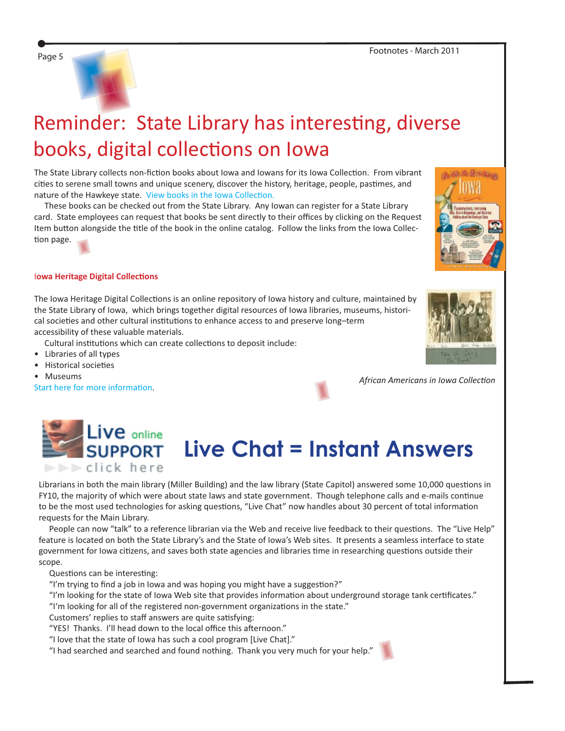# Reminder: State Library has interesting, diverse books, digital collections on Iowa

The State Library collects non-fiction books about lowa and lowans for its lowa Collection. From vibrant cities to serene small towns and unique scenery, discover the history, heritage, people, pastimes, and nature of the Hawkeye state. View books in the Iowa Collection.

 These books can be checked out from the State Library. Any Iowan can register for a State Library card. State employees can request that books be sent directly to their offices by clicking on the Request Item button alongside the title of the book in the online catalog. Follow the links from the Iowa Collection page.

#### **lowa Heritage Digital Collections**

The Iowa Heritage Digital Collections is an online repository of Iowa history and culture, maintained by the State Library of Iowa, which brings together digital resources of Iowa libraries, museums, historical societies and other cultural institutions to enhance access to and preserve long-term accessibility of these valuable materials.

Cultural institutions which can create collections to deposit include:

- Libraries of all types
- Historical societies
- Museums

Start here for more information.





Librarians in both the main library (Miller Building) and the law library (State Capitol) answered some 10,000 questions in FY10, the majority of which were about state laws and state government. Though telephone calls and e-mails continue to be the most used technologies for asking questions, "Live Chat" now handles about 30 percent of total information requests for the Main Library.

People can now "talk" to a reference librarian via the Web and receive live feedback to their questions. The "Live Help" feature is located on both the State Library's and the State of Iowa's Web sites. It presents a seamless interface to state government for lowa citizens, and saves both state agencies and libraries time in researching questions outside their scope.

Questions can be interesting:

"I'm trying to find a job in lowa and was hoping you might have a suggestion?"

"I'm looking for the state of Iowa Web site that provides information about underground storage tank certificates."

"I'm looking for all of the registered non-government organizations in the state."

Customers' replies to staff answers are quite satisfying:

"YES! Thanks. I'll head down to the local office this afternoon."

"I love that the state of Iowa has such a cool program [Live Chat]."

"I had searched and searched and found nothing. Thank you very much for your help."



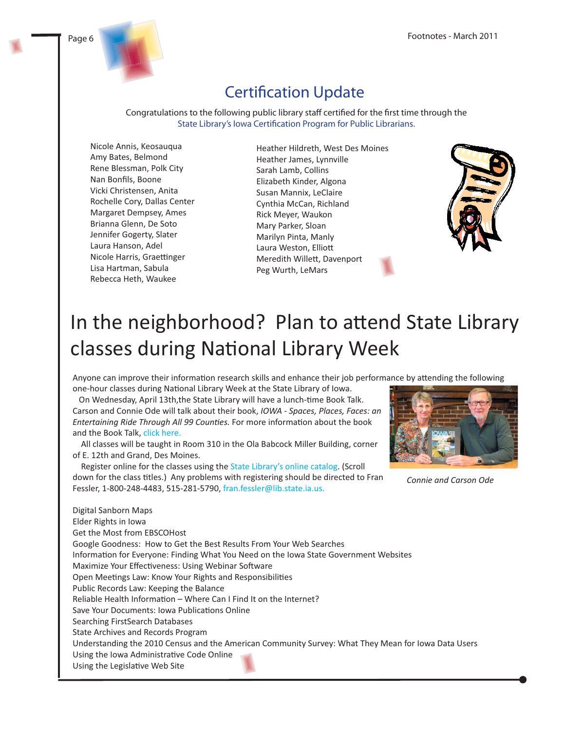

## **Certification Update**

Congratulations to the following public library staff certified for the first time through the State Library's Iowa Certification Program for Public Librarians.

Nicole Annis, Keosauqua Amy Bates, Belmond Rene Blessman, Polk City Nan Bonfils, Boone Vicki Christensen, Anita Rochelle Cory, Dallas Center Margaret Dempsey, Ames Brianna Glenn, De Soto Jennifer Gogerty, Slater Laura Hanson, Adel Nicole Harris, Graettinger Lisa Hartman, Sabula Rebecca Heth, Waukee

Heather Hildreth, West Des Moines Heather James, Lynnville Sarah Lamb, Collins Elizabeth Kinder, Algona Susan Mannix, LeClaire Cynthia McCan, Richland Rick Meyer, Waukon Mary Parker, Sloan Marilyn Pinta, Manly Laura Weston, Ellio Meredith Willett, Davenport Peg Wurth, LeMars



## In the neighborhood? Plan to attend State Library classes during National Library Week

Anyone can improve their information research skills and enhance their job performance by attending the following one-hour classes during National Library Week at the State Library of Iowa.

On Wednesday, April 13th, the State Library will have a lunch-time Book Talk. Carson and Connie Ode will talk about their book, *IOWA - Spaces, Places, Faces: an*  Entertaining Ride Through All 99 Counties. For more information about the book and the Book Talk, [click here.](http://www.statelibraryofiowa.org/services/nlwbktalk)

 All classes will be taught in Room 310 in the Ola Babcock Miller Building, corner of E. 12th and Grand, Des Moines.

Register online for the classes using the [State Library's online catalog.](http://www.statelibraryofiowa.org/cgi-bin/cecat/) (Scroll down for the class titles.) Any problems with registering should be directed to Fran Fessler, 1-800-248-4483, 515-281-5790, [fran.fessler@lib.state.ia.us.](mailto:fran.fessler@lib.state.ia.us)



*Connie and Carson Ode*

Digital Sanborn Maps Elder Rights in Iowa Get the Most from EBSCOHost Google Goodness: How to Get the Best Results From Your Web Searches Information for Everyone: Finding What You Need on the Iowa State Government Websites Maximize Your Effectiveness: Using Webinar Software Open Meetings Law: Know Your Rights and Responsibilities Public Records Law: Keeping the Balance Reliable Health Information - Where Can I Find It on the Internet? Save Your Documents: Iowa Publications Online Searching FirstSearch Databases State Archives and Records Program Understanding the 2010 Census and the American Community Survey: What They Mean for Iowa Data Users Using the Iowa Administrative Code Online Using the Legislative Web Site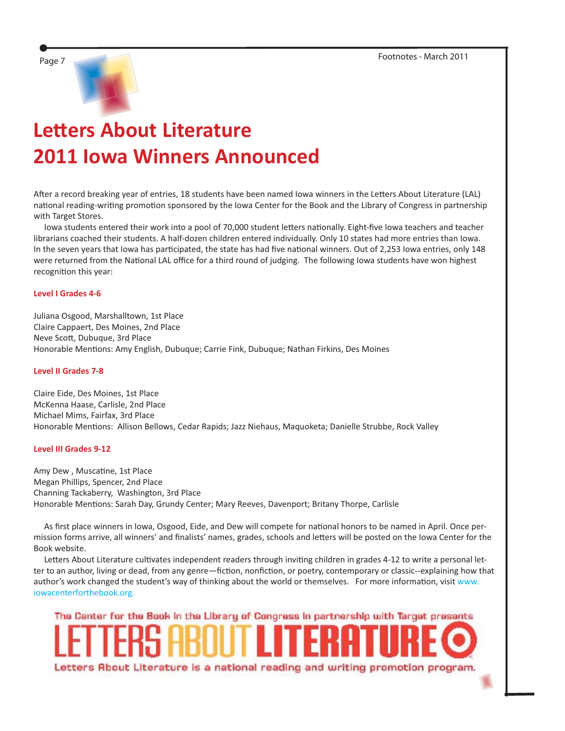Page 7 Footnotes - March 2011



## **Letters About Literature 2011 Iowa Winners Announced**

After a record breaking year of entries, 18 students have been named Iowa winners in the Letters About Literature (LAL) national reading-writing promotion sponsored by the Iowa Center for the Book and the Library of Congress in partnership with Target Stores.

lowa students entered their work into a pool of 70,000 student letters nationally. Eight-five Iowa teachers and teacher librarians coached their students. A half-dozen children entered individually. Only 10 states had more entries than Iowa. In the seven years that lowa has participated, the state has had five national winners. Out of 2,253 lowa entries, only 148 were returned from the National LAL office for a third round of judging. The following Iowa students have won highest recognition this year:

#### **Level I Grades 4-6**

Juliana Osgood, Marshalltown, 1st Place Claire Cappaert, Des Moines, 2nd Place Neve Scott, Dubuque, 3rd Place Honorable Mentions: Amy English, Dubuque; Carrie Fink, Dubuque; Nathan Firkins, Des Moines

#### **Level II Grades 7-8**

Claire Eide, Des Moines, 1st Place McKenna Haase, Carlisle, 2nd Place Michael Mims, Fairfax, 3rd Place Honorable Mentions: Allison Bellows, Cedar Rapids; Jazz Niehaus, Maquoketa; Danielle Strubbe, Rock Valley

#### **Level III Grades 9-12**

Amy Dew, Muscatine, 1st Place Megan Phillips, Spencer, 2nd Place Channing Tackaberry, Washington, 3rd Place Honorable Mentions: Sarah Day, Grundy Center; Mary Reeves, Davenport; Britany Thorpe, Carlisle

As first place winners in Iowa, Osgood, Eide, and Dew will compete for national honors to be named in April. Once permission forms arrive, all winners' and finalists' names, grades, schools and letters will be posted on the Iowa Center for the Book website.

Letters About Literature cultivates independent readers through inviting children in grades 4-12 to write a personal letter to an author, living or dead, from any genre—fiction, nonfiction, or poetry, contemporary or classic--explaining how that author's work changed the student's way of thinking about the world or themselves. For more information, visit [www.](http://www.iowacenterforthebook.org) [iowacenterforthebook.org.](http://www.iowacenterforthebook.org)

The Center for the Book in the Library of Congress in partnership with Target presents Letters About Literature is a national reading and writing promotion program.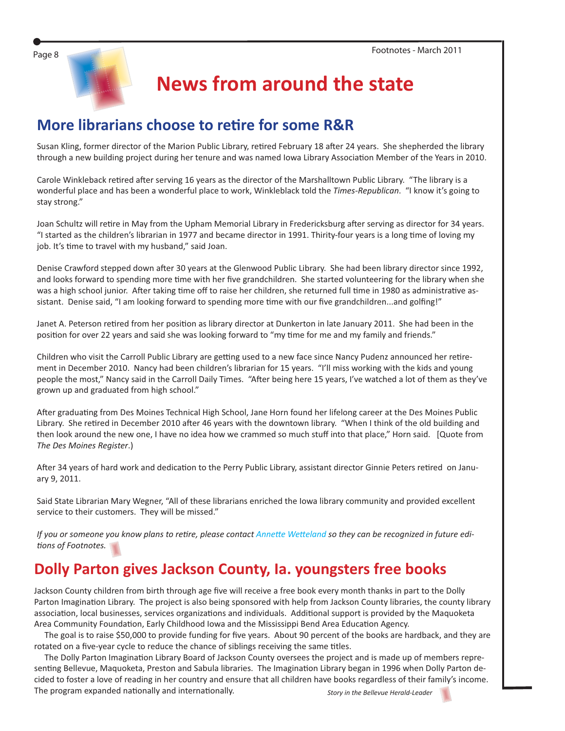

## **News from around the state**

### **More librarians choose to retire for some R&R**

Susan Kling, former director of the Marion Public Library, retired February 18 after 24 years. She shepherded the library through a new building project during her tenure and was named lowa Library Association Member of the Years in 2010.

Carole Winkleback retired after serving 16 years as the director of the Marshalltown Public Library. "The library is a wonderful place and has been a wonderful place to work, Winkleblack told the *Times-Republican*. "I know it's going to stay strong."

Joan Schultz will retire in May from the Upham Memorial Library in Fredericksburg after serving as director for 34 years. "I started as the children's librarian in 1977 and became director in 1991. Thirity-four years is a long time of loving my job. It's time to travel with my husband," said Joan.

Denise Crawford stepped down after 30 years at the Glenwood Public Library. She had been library director since 1992, and looks forward to spending more time with her five grandchildren. She started volunteering for the library when she was a high school junior. After taking time off to raise her children, she returned full time in 1980 as administrative assistant. Denise said, "I am looking forward to spending more time with our five grandchildren...and golfing!"

Janet A. Peterson retired from her position as library director at Dunkerton in late January 2011. She had been in the position for over 22 years and said she was looking forward to "my time for me and my family and friends."

Children who visit the Carroll Public Library are getting used to a new face since Nancy Pudenz announced her retirement in December 2010. Nancy had been children's librarian for 15 years. "I'll miss working with the kids and young people the most," Nancy said in the Carroll Daily Times. "After being here 15 years, I've watched a lot of them as they've grown up and graduated from high school."

After graduating from Des Moines Technical High School, Jane Horn found her lifelong career at the Des Moines Public Library. She retired in December 2010 after 46 years with the downtown library. "When I think of the old building and then look around the new one, I have no idea how we crammed so much stuff into that place," Horn said. [Quote from *The Des Moines Register*.)

After 34 years of hard work and dedication to the Perry Public Library, assistant director Ginnie Peters retired on January 9, 2011.

Said State Librarian Mary Wegner, "All of these librarians enriched the Iowa library community and provided excellent service to their customers. They will be missed."

If you or [s](http://www.statelibraryofiowa.org/contact-us/staff/awetteland)omeone you know plans to retire, please contact Annette Wetteland so they can be recognized in future edi-*- ons of Footnotes.*

### **Dolly Parton gives Jackson County, Ia. youngsters free books**

Jackson County children from birth through age five will receive a free book every month thanks in part to the Dolly Parton Imagination Library. The project is also being sponsored with help from Jackson County libraries, the county library association, local businesses, services organizations and individuals. Additional support is provided by the Maquoketa Area Community Foundation, Early Childhood Iowa and the Mississippi Bend Area Education Agency.

The goal is to raise \$50,000 to provide funding for five years. About 90 percent of the books are hardback, and they are rotated on a five-year cycle to reduce the chance of siblings receiving the same titles.

The Dolly Parton Imagination Library Board of Jackson County oversees the project and is made up of members representing Bellevue, Maquoketa, Preston and Sabula libraries. The Imagination Library began in 1996 when Dolly Parton decided to foster a love of reading in her country and ensure that all children have books regardless of their family's income. The program expanded nationally and internati **Story in the Bellevue Herald-Leader**